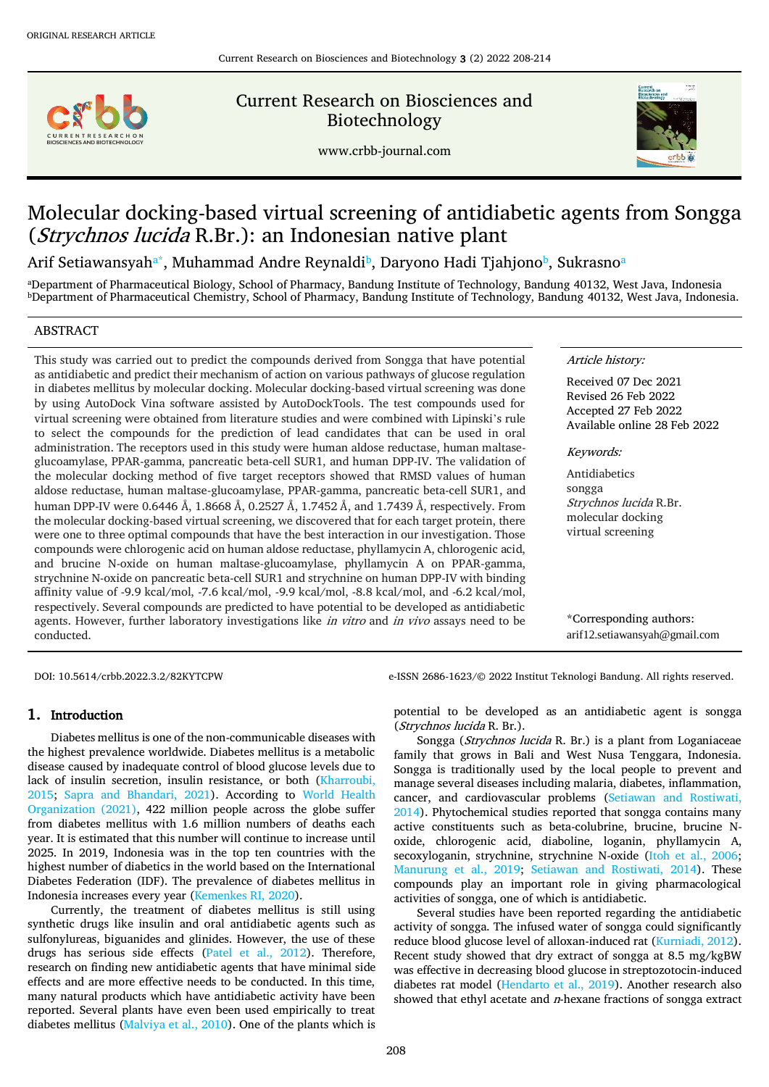

Current Research on Biosciences and Biotechnology



www.crbb-journal.com

# Molecular docking-based virtual screening of antidiabetic agents from Songga (Strychnos lucida R.Br.): an Indonesian native plant

Arif Seti[a](#page-0-0)wansyah<sup>a[\\*](#page-0-1)</sup>, Muhammad Andre Reynaldi<sup>[b](#page-0-0)</sup>, Daryono Hadi Tjahjono<sup>b</sup>, Sukrasno<sup>a</sup>

<span id="page-0-0"></span><sup>a</sup>Department of Pharmaceutical Biology, School of Pharmacy, Bandung Institute of Technology, Bandung 40132, West Java, Indonesia <sup>b</sup>Department of Pharmaceutical Chemistry, School of Pharmacy, Bandung Institute of Technology, Bandung 40132, West Java, Indonesia.

## ABSTRACT

This study was carried out to predict the compounds derived from Songga that have potential as antidiabetic and predict their mechanism of action on various pathways of glucose regulation in diabetes mellitus by molecular docking. Molecular docking-based virtual screening was done by using AutoDock Vina software assisted by AutoDockTools. The test compounds used for virtual screening were obtained from literature studies and were combined with Lipinski's rule to select the compounds for the prediction of lead candidates that can be used in oral administration. The receptors used in this study were human aldose reductase, human maltaseglucoamylase, PPAR-gamma, pancreatic beta-cell SUR1, and human DPP-IV. The validation of the molecular docking method of five target receptors showed that RMSD values of human aldose reductase, human maltase-glucoamylase, PPAR-gamma, pancreatic beta-cell SUR1, and human DPP-IV were 0.6446 Å, 1.8668 Å, 0.2527 Å, 1.7452 Å, and 1.7439 Å, respectively. From the molecular docking-based virtual screening, we discovered that for each target protein, there were one to three optimal compounds that have the best interaction in our investigation. Those compounds were chlorogenic acid on human aldose reductase, phyllamycin A, chlorogenic acid, and brucine N-oxide on human maltase-glucoamylase, phyllamycin A on PPAR-gamma, strychnine N-oxide on pancreatic beta-cell SUR1 and strychnine on human DPP-IV with binding affinity value of -9.9 kcal/mol, -7.6 kcal/mol, -9.9 kcal/mol, -8.8 kcal/mol, and -6.2 kcal/mol, respectively. Several compounds are predicted to have potential to be developed as antidiabetic agents. However, further laboratory investigations like *in vitro* and *in vivo* assays need to be conducted.

#### Article history:

Received 07 Dec 2021 Revised 26 Feb 2022 Accepted 27 Feb 2022 Available online 28 Feb 2022

#### Keywords:

Antidiabetics songga Strychnos lucida R.Br. molecular docking virtual screening

<span id="page-0-1"></span>\*Corresponding authors: arif12.setiawansyah@gmail.com

DOI: 10.5614/crbb.2022.3.2/82KYTCPW e-ISSN 2686-1623/© 2022 Institut Teknologi Bandung. All rights reserved.

## 1. Introduction

Diabetes mellitus is one of the non-communicable diseases with the highest prevalence worldwide. Diabetes mellitus is a metabolic disease caused by inadequate control of blood glucose levels due to lack of insulin secretion, insulin resistance, or both [\(Kharroubi,](#page-6-0)  [2015;](#page-6-0) Sapra and [Bhandari, 2021\)](#page-6-1). According to [World Health](#page-6-2)  Organization (2021), 422 million people across the globe suffer from diabetes mellitus with 1.6 million numbers of deaths each year. It is estimated that this number will continue to increase until 2025. In 2019, Indonesia was in the top ten countries with the highest number of diabetics in the world based on the International Diabetes Federation (IDF). The prevalence of diabetes mellitus in Indonesia increases every year [\(Kemenkes RI, 2020\)](#page-6-3).

Currently, the treatment of diabetes mellitus is still using synthetic drugs like insulin and oral antidiabetic agents such as sulfonylureas, biguanides and glinides. However, the use of these drugs has serious side effects [\(Patel et al., 2012\)](#page-6-4). Therefore, research on finding new antidiabetic agents that have minimal side effects and are more effective needs to be conducted. In this time, many natural products which have antidiabetic activity have been reported. Several plants have even been used empirically to treat diabetes mellitus [\(Malviya et al., 2010\)](#page-6-5). One of the plants which is potential to be developed as an antidiabetic agent is songga (Strychnos lucida R. Br.).

Songga (Strychnos lucida R. Br.) is a plant from Loganiaceae family that grows in Bali and West Nusa Tenggara, Indonesia. Songga is traditionally used by the local people to prevent and manage several diseases including malaria, diabetes, inflammation, cancer, and cardiovascular problems [\(Setiawan and](#page-6-6) Rostiwati, [2014\)](#page-6-6). Phytochemical studies reported that songga contains many active constituents such as beta-colubrine, brucine, brucine Noxide, chlorogenic acid, diaboline, loganin, phyllamycin A, secoxyloganin, strychnine, strychnine N-oxide [\(Itoh et al., 2006;](#page-6-7) [Manurung et al., 2019;](#page-6-8) Setiawan and [Rostiwati, 2014\)](#page-6-6). These compounds play an important role in giving pharmacological activities of songga, one of which is antidiabetic.

Several studies have been reported regarding the antidiabetic activity of songga. The infused water of songga could significantly reduce blood glucose level of alloxan-induced rat [\(Kurniadi, 2012\)](#page-6-9). Recent study showed that dry extract of songga at 8.5 mg/kgBW was effective in decreasing blood glucose in streptozotocin-induced diabetes rat model [\(Hendarto et al., 2019\)](#page-6-10). Another research also showed that ethyl acetate and  $n$ -hexane fractions of songga extract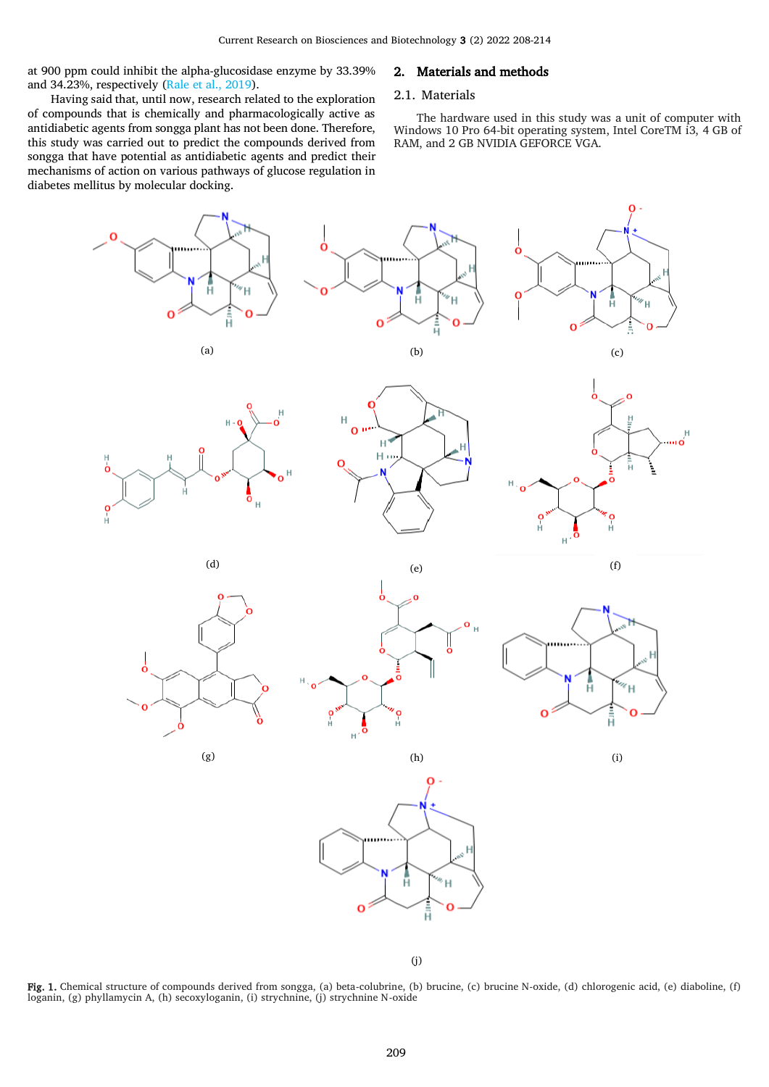at 900 ppm could inhibit the alpha-glucosidase enzyme by 33.39% and 34.23%, respectively [\(Rale et al., 2019\)](#page-6-11).

Having said that, until now, research related to the exploration of compounds that is chemically and pharmacologically active as antidiabetic agents from songga plant has not been done. Therefore, this study was carried out to predict the compounds derived from songga that have potential as antidiabetic agents and predict their mechanisms of action on various pathways of glucose regulation in diabetes mellitus by molecular docking.

## 2. Materials and methods

## 2.1. Materials

The hardware used in this study was a unit of computer with Windows 10 Pro 64-bit operating system, Intel CoreTM i3, 4 GB of RAM, and 2 GB NVIDIA GEFORCE VGA.



(j)

<span id="page-1-0"></span>Fig. 1. Chemical structure of compounds derived from songga, (a) beta-colubrine, (b) brucine, (c) brucine N-oxide, (d) chlorogenic acid, (e) diaboline, (f) loganin, (g) phyllamycin A, (h) secoxyloganin, (i) strychnine, (j) strychnine N-oxide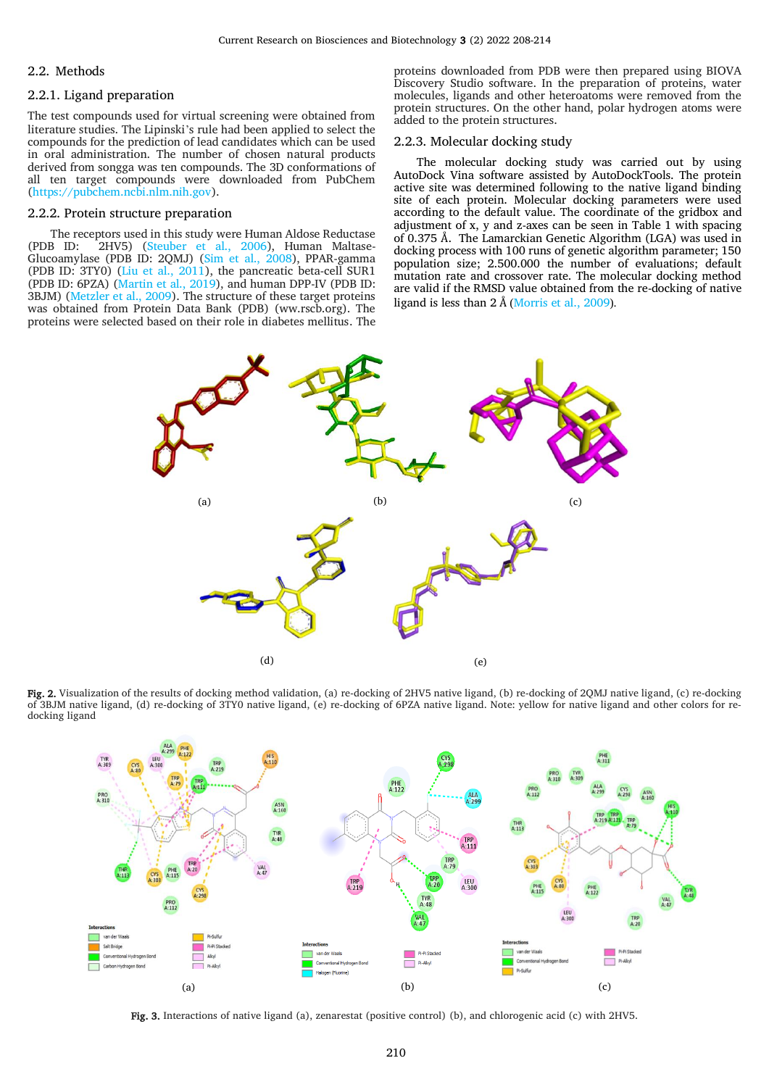#### 2.2. Methods

## 2.2.1. Ligand preparation

The test compounds used for virtual screening were obtained from literature studies. The Lipinski's rule had been applied to select the compounds for the prediction of lead candidates which can be used in oral administration. The number of chosen natural products derived from songga was ten compounds. The 3D conformations of all ten target compounds were downloaded from PubChem [\(https://pubchem.ncbi.nlm.nih.gov\)](https://pubchem.ncbi.nlm.nih.gov/).

#### 2.2.2. Protein structure preparation

The receptors used in this study were Human Aldose Reductase (PDB ID: 2HV5) [\(Steuber et al., 2006\)](#page-6-12), Human Maltase-Glucoamylase (PDB ID: 2QMJ) [\(Sim et al., 2008\)](#page-6-13), PPAR-gamma (PDB ID: 3TY0) [\(Liu et al., 2011\)](#page-6-14), the pancreatic beta-cell SUR1 (PDB ID: 6PZA) [\(Martin et al., 2019\)](#page-6-15), and human DPP-IV (PDB ID: 3BJM) [\(Metzler et al., 2009\)](#page-6-16). The structure of these target proteins was obtained from Protein Data Bank (PDB) (ww.rscb.org). The proteins were selected based on their role in diabetes mellitus. The

proteins downloaded from PDB were then prepared using BIOVA Discovery Studio software. In the preparation of proteins, water molecules, ligands and other heteroatoms were removed from the protein structures. On the other hand, polar hydrogen atoms were added to the protein structures.

#### 2.2.3. Molecular docking study

The molecular docking study was carried out by using AutoDock Vina software assisted by AutoDockTools. The protein active site was determined following to the native ligand binding site of each protein. Molecular docking parameters were used according to the default value. The coordinate of the gridbox and adjustment of x, y and z-axes can be seen in Table 1 with spacing of 0.375 Å. The Lamarckian Genetic Algorithm (LGA) was used in docking process with 100 runs of genetic algorithm parameter; 150 population size; 2.500.000 the number of evaluations; default mutation rate and crossover rate. The molecular docking method are valid if the RMSD value obtained from the re-docking of native ligand is less than 2 Å ([Morris et al., 2009](#page-6-17)).



Fig. 2. Visualization of the results of docking method validation, (a) re-docking of 2HV5 native ligand, (b) re-docking of 2QMJ native ligand, (c) re-docking of 3BJM native ligand, (d) re-docking of 3TY0 native ligand, (e) re-docking of 6PZA native ligand. Note: yellow for native ligand and other colors for redocking ligand



Fig. 3. Interactions of native ligand (a), zenarestat (positive control) (b), and chlorogenic acid (c) with 2HV5.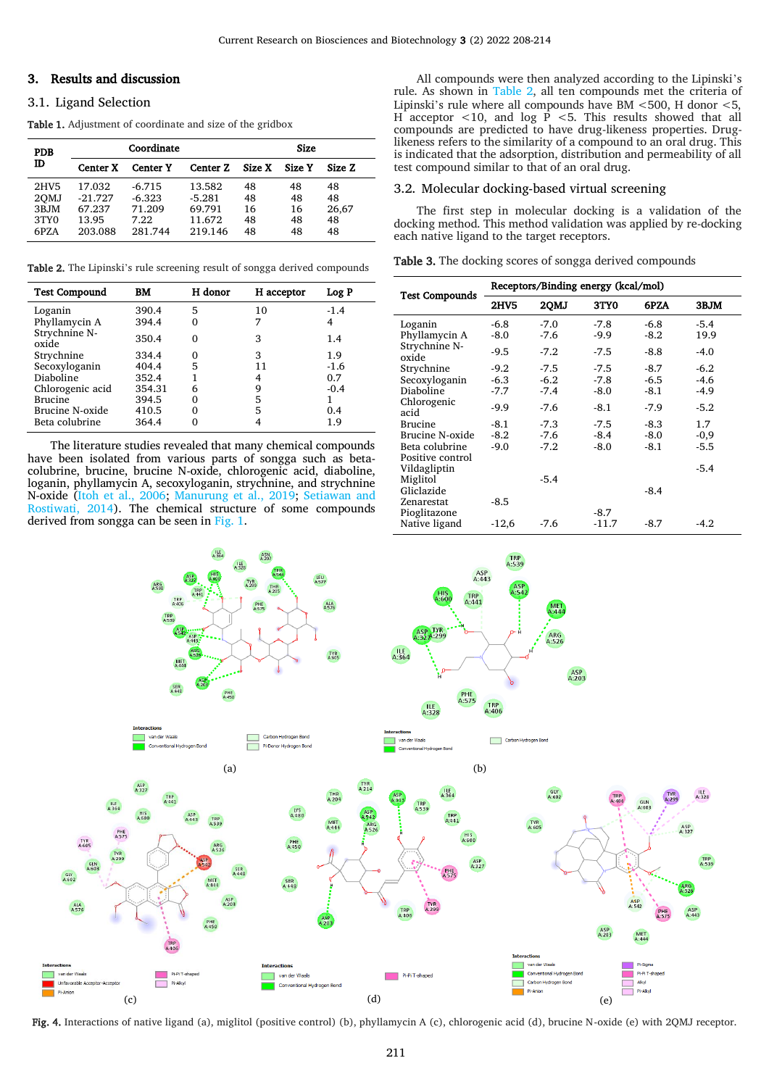## 3. Results and discussion

#### 3.1. Ligand Selection

Table 1. Adjustment of coordinate and size of the gridbox

| <b>PDB</b><br>ID                                 | Coordinate                                        |                                                   |                                                   | Size                       |                            |                               |
|--------------------------------------------------|---------------------------------------------------|---------------------------------------------------|---------------------------------------------------|----------------------------|----------------------------|-------------------------------|
|                                                  | <b>Center X</b>                                   | <b>Center Y</b>                                   | Center Z                                          | Size X                     | Size Y                     | Size Z                        |
| 2HV5<br>20MJ<br>3BJM<br>3TY <sub>0</sub><br>6PZA | 17.032<br>$-21.727$<br>67.237<br>13.95<br>203.088 | $-6.715$<br>$-6.323$<br>71.209<br>7.22<br>281.744 | 13.582<br>$-5.281$<br>69.791<br>11.672<br>219.146 | 48<br>48<br>16<br>48<br>48 | 48<br>48<br>16<br>48<br>48 | 48<br>48<br>26,67<br>48<br>48 |

<span id="page-3-0"></span>Table 2. The Lipinski's rule screening result of songga derived compounds

| <b>Test Compound</b>   | BM     | H donor  | H acceptor | Log P  |
|------------------------|--------|----------|------------|--------|
| Loganin                | 390.4  | 5        | 10         | $-1.4$ |
| Phyllamycin A          | 394.4  | 0        |            | 4      |
| Strychnine N-<br>oxide | 350.4  | $\Omega$ | 3          | 1.4    |
| Strychnine             | 334.4  | 0        | 3          | 1.9    |
| Secoxyloganin          | 404.4  | 5        | 11         | $-1.6$ |
| <b>Diaboline</b>       | 352.4  |          |            | 0.7    |
| Chlorogenic acid       | 354.31 | 6        | 9          | $-0.4$ |
| <b>Brucine</b>         | 394.5  | 0        | 5          |        |
| Brucine N-oxide        | 410.5  | 0        | 5          | 0.4    |
| Beta colubrine         | 364.4  | 0        |            | 1.9    |
|                        |        |          |            |        |

The literature studies revealed that many chemical compounds have been isolated from various parts of songga such as betacolubrine, brucine, brucine N-oxide, chlorogenic acid, diaboline, loganin, phyllamycin A, secoxyloganin, strychnine, and strychnine N-oxide [\(Itoh et al., 2006;](#page-6-7) [Manurung et al., 2019;](#page-6-8) [Setiawan and](#page-6-6) [Rostiwati, 2014\)](#page-6-6). The chemical structure of some compounds derived from songga can be seen in [Fig.](#page-1-0) 1.



#### 3.2. Molecular docking-based virtual screening

The first step in molecular docking is a validation of the docking method. This method validation was applied by re-docking each native ligand to the target receptors.

<span id="page-3-1"></span>Table 3. The docking scores of songga derived compounds

| <b>Test Compounds</b>                                      | Receptors/Binding energy (kcal/mol) |                            |                            |                            |                            |  |  |
|------------------------------------------------------------|-------------------------------------|----------------------------|----------------------------|----------------------------|----------------------------|--|--|
|                                                            | 2HV5                                | 2QMJ                       | 3TY0                       | 6PZA                       | 3BJM                       |  |  |
| Loganin<br>Phyllamycin A                                   | $-6.8$<br>$-8.0$                    | $-7.0$<br>$-7.6$           | $-7.8$<br>$-9.9$           | $-6.8$<br>$-8.2$           | $-5.4$<br>19.9             |  |  |
| Strychnine N-<br>oxide                                     | $-9.5$                              | $-7.2$                     | $-7.5$                     | $-8.8$                     | $-4.0$                     |  |  |
| Strychnine<br>Secoxyloganin<br>Diaboline                   | $-9.2$<br>$-6.3$<br>$-7.7$          | $-7.5$<br>$-6.2$<br>$-7.4$ | $-7.5$<br>$-7.8$<br>$-8.0$ | $-8.7$<br>$-6.5$<br>$-8.1$ | $-6.2$<br>$-4.6$<br>$-4.9$ |  |  |
| Chlorogenic<br>acid                                        | $-9.9$                              | $-7.6$                     | $-8.1$                     | $-7.9$                     | $-5.2$                     |  |  |
| Brucine<br>Brucine N-oxide<br>Beta colubrine               | $-8.1$<br>$-8.2$<br>$-9.0$          | $-7.3$<br>$-7.6$<br>$-7.2$ | $-7.5$<br>$-8.4$<br>$-8.0$ | $-8.3$<br>$-8.0$<br>$-8.1$ | 1.7<br>$-0,9$<br>$-5.5$    |  |  |
| Positive control<br>Vildagliptin<br>Miglitol<br>Gliclazide |                                     | $-5.4$                     |                            | $-8.4$                     | $-5.4$                     |  |  |
| Zenarestat<br>Pioglitazone                                 | $-8.5$                              |                            | $-8.7$                     |                            |                            |  |  |
| Native ligand                                              | $-12,6$                             | $-7.6$                     | $-11.7$                    | $-8.7$                     | -4.2                       |  |  |



<span id="page-3-2"></span>Fig. 4. Interactions of native ligand (a), miglitol (positive control) (b), phyllamycin A (c), chlorogenic acid (d), brucine N-oxide (e) with 2QMJ receptor.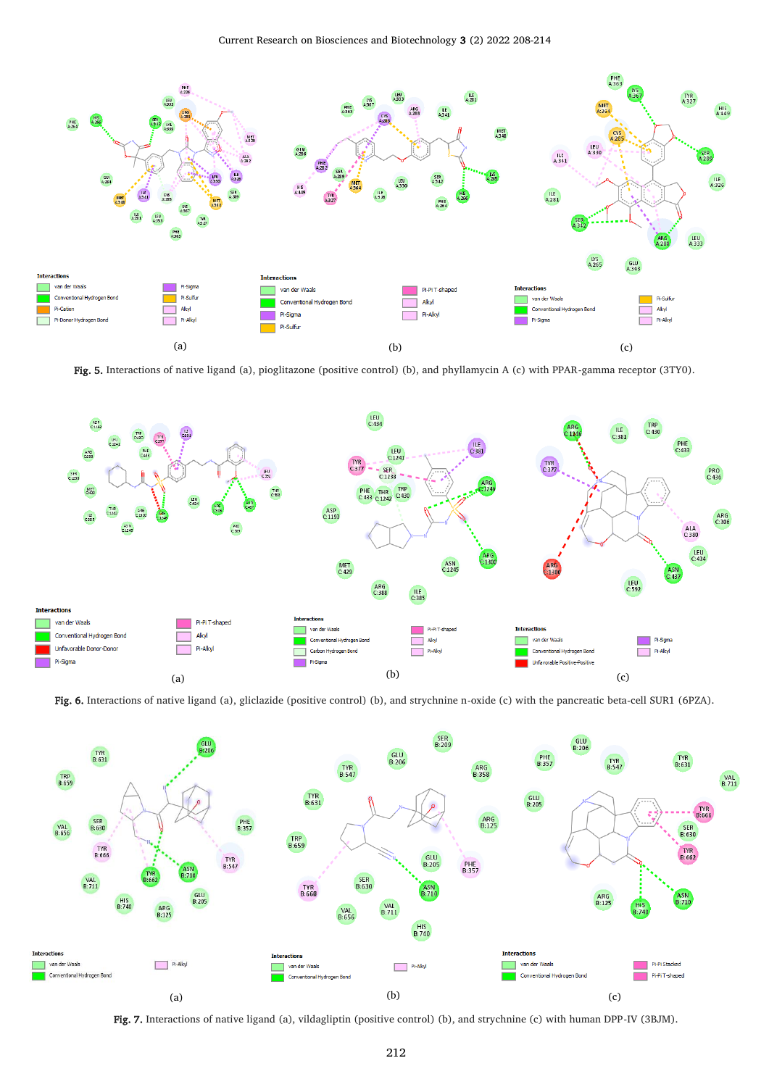

Fig. 5. Interactions of native ligand (a), pioglitazone (positive control) (b), and phyllamycin A (c) with PPAR-gamma receptor (3TY0).



Fig. 6. Interactions of native ligand (a), gliclazide (positive control) (b), and strychnine n-oxide (c) with the pancreatic beta-cell SUR1 (6PZA).



Fig. 7. Interactions of native ligand (a), vildagliptin (positive control) (b), and strychnine (c) with human DPP-IV (3BJM).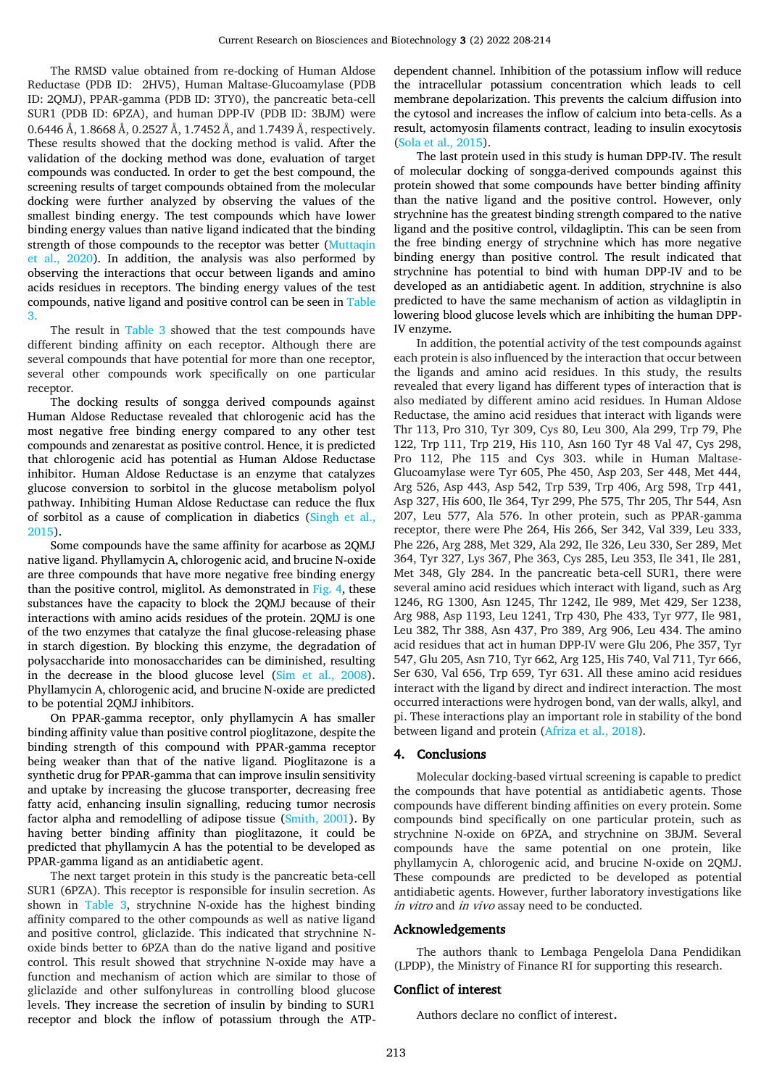The RMSD value obtained from re-docking of Human Aldose Reductase (PDB ID: 2HV5), Human Maltase-Glucoamylase (PDB ID: 2QMJ), PPAR-gamma (PDB ID: 3TY0), the pancreatic beta-cell SUR1 (PDB ID: 6PZA), and human DPP-IV (PDB ID: 3BJM) were 0.6446 Å, 1.8668 Å, 0.2527 Å, 1.7452 Å, and 1.7439 Å, respectively. These results showed that the docking method is valid. After the validation of the docking method was done, evaluation of target compounds was conducted. In order to get the best compound, the screening results of target compounds obtained from the molecular docking were further analyzed by observing the values of the smallest binding energy. The test compounds which have lower binding energy values than native ligand indicated that the binding strength of those compounds to the receptor was better [\(Muttaqin](#page-6-18)  [et al., 2020\)](#page-6-18). In addition, the analysis was also performed by observing the interactions that occur between ligands and amino acids residues in receptors. The binding energy values of the test compounds, native ligand and positive control can be seen i[n Table](#page-3-1)  [3.](#page-3-1)

The result in [Table 3](#page-3-1) showed that the test compounds have different binding affinity on each receptor. Although there are several compounds that have potential for more than one receptor, several other compounds work specifically on one particular receptor.

The docking results of songga derived compounds against Human Aldose Reductase revealed that chlorogenic acid has the most negative free binding energy compared to any other test compounds and zenarestat as positive control. Hence, it is predicted that chlorogenic acid has potential as Human Aldose Reductase inhibitor. Human Aldose Reductase is an enzyme that catalyzes glucose conversion to sorbitol in the glucose metabolism polyol pathway. Inhibiting Human Aldose Reductase can reduce the flux of sorbitol as a cause of complication in diabetics [\(Singh et al.,](#page-6-19)  [2015\)](#page-6-19).

Some compounds have the same affinity for acarbose as 2QMJ native ligand. Phyllamycin A, chlorogenic acid, and brucine N-oxide are three compounds that have more negative free binding energy than the positive control, miglitol. As demonstrated in [Fig.](#page-3-2) 4, these substances have the capacity to block the 2QMJ because of their interactions with amino acids residues of the protein. 2QMJ is one of the two enzymes that catalyze the final glucose-releasing phase in starch digestion. By blocking this enzyme, the degradation of polysaccharide into monosaccharides can be diminished, resulting in the decrease in the blood glucose level [\(Sim et al., 2008\)](#page-6-13). Phyllamycin A, chlorogenic acid, and brucine N-oxide are predicted to be potential 2QMJ inhibitors.

On PPAR-gamma receptor, only phyllamycin A has smaller binding affinity value than positive control pioglitazone, despite the binding strength of this compound with PPAR-gamma receptor being weaker than that of the native ligand. Pioglitazone is a synthetic drug for PPAR-gamma that can improve insulin sensitivity and uptake by increasing the glucose transporter, decreasing free fatty acid, enhancing insulin signalling, reducing tumor necrosis factor alpha and remodelling of adipose tissue [\(Smith, 2001\)](#page-6-20). By having better binding affinity than pioglitazone, it could be predicted that phyllamycin A has the potential to be developed as PPAR-gamma ligand as an antidiabetic agent.

The next target protein in this study is the pancreatic beta-cell SUR1 (6PZA). This receptor is responsible for insulin secretion. As shown in [Table 3,](#page-3-1) strychnine N-oxide has the highest binding affinity compared to the other compounds as well as native ligand and positive control, gliclazide. This indicated that strychnine Noxide binds better to 6PZA than do the native ligand and positive control. This result showed that strychnine N-oxide may have a function and mechanism of action which are similar to those of gliclazide and other sulfonylureas in controlling blood glucose levels. They increase the secretion of insulin by binding to SUR1 receptor and block the inflow of potassium through the ATP-

dependent channel. Inhibition of the potassium inflow will reduce the intracellular potassium concentration which leads to cell membrane depolarization. This prevents the calcium diffusion into the cytosol and increases the inflow of calcium into beta-cells. As a result, actomyosin filaments contract, leading to insulin exocytosis [\(Sola et al., 2015\)](#page-6-21).

The last protein used in this study is human DPP-IV. The result of molecular docking of songga-derived compounds against this protein showed that some compounds have better binding affinity than the native ligand and the positive control. However, only strychnine has the greatest binding strength compared to the native ligand and the positive control, vildagliptin. This can be seen from the free binding energy of strychnine which has more negative binding energy than positive control. The result indicated that strychnine has potential to bind with human DPP-IV and to be developed as an antidiabetic agent. In addition, strychnine is also predicted to have the same mechanism of action as vildagliptin in lowering blood glucose levels which are inhibiting the human DPP-IV enzyme.

In addition, the potential activity of the test compounds against each protein is also influenced by the interaction that occur between the ligands and amino acid residues. In this study, the results revealed that every ligand has different types of interaction that is also mediated by different amino acid residues. In Human Aldose Reductase, the amino acid residues that interact with ligands were Thr 113, Pro 310, Tyr 309, Cys 80, Leu 300, Ala 299, Trp 79, Phe 122, Trp 111, Trp 219, His 110, Asn 160 Tyr 48 Val 47, Cys 298, Pro 112, Phe 115 and Cys 303. while in Human Maltase-Glucoamylase were Tyr 605, Phe 450, Asp 203, Ser 448, Met 444, Arg 526, Asp 443, Asp 542, Trp 539, Trp 406, Arg 598, Trp 441, Asp 327, His 600, Ile 364, Tyr 299, Phe 575, Thr 205, Thr 544, Asn 207, Leu 577, Ala 576. In other protein, such as PPAR-gamma receptor, there were Phe 264, His 266, Ser 342, Val 339, Leu 333, Phe 226, Arg 288, Met 329, Ala 292, Ile 326, Leu 330, Ser 289, Met 364, Tyr 327, Lys 367, Phe 363, Cys 285, Leu 353, Ile 341, Ile 281, Met 348, Gly 284. In the pancreatic beta-cell SUR1, there were several amino acid residues which interact with ligand, such as Arg 1246, RG 1300, Asn 1245, Thr 1242, Ile 989, Met 429, Ser 1238, Arg 988, Asp 1193, Leu 1241, Trp 430, Phe 433, Tyr 977, Ile 981, Leu 382, Thr 388, Asn 437, Pro 389, Arg 906, Leu 434. The amino acid residues that act in human DPP-IV were Glu 206, Phe 357, Tyr 547, Glu 205, Asn 710, Tyr 662, Arg 125, His 740, Val 711, Tyr 666, Ser 630, Val 656, Trp 659, Tyr 631. All these amino acid residues interact with the ligand by direct and indirect interaction. The most occurred interactions were hydrogen bond, van der walls, alkyl, and pi. These interactions play an important role in stability of the bond between ligand and protein [\(Afriza et al., 2018\)](#page-6-22).

## 4. Conclusions

Molecular docking-based virtual screening is capable to predict the compounds that have potential as antidiabetic agents. Those compounds have different binding affinities on every protein. Some compounds bind specifically on one particular protein, such as strychnine N-oxide on 6PZA, and strychnine on 3BJM. Several compounds have the same potential on one protein, like phyllamycin A, chlorogenic acid, and brucine N-oxide on 2QMJ. These compounds are predicted to be developed as potential antidiabetic agents. However, further laboratory investigations like in vitro and in vivo assay need to be conducted.

## Acknowledgements

The authors thank to Lembaga Pengelola Dana Pendidikan (LPDP), the Ministry of Finance RI for supporting this research.

#### Conflict of interest

Authors declare no conflict of interest.